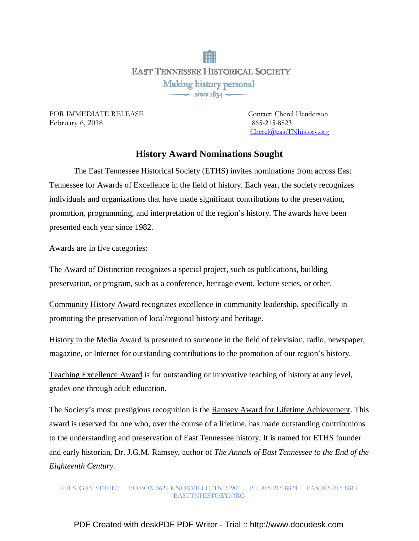**EAST TENNESSEE HISTORICAL SOCIETY** Making history personal  $\overline{\phantom{1}}$  since 1834 –

FOR IMMEDIATE RELEASE Contact: Cherel Henderson February 6, 2018 865-215-8823

Cherel@eastTNhistory.org

## **History Award Nominations Sought**

 The East Tennessee Historical Society (ETHS) invites nominations from across East Tennessee for Awards of Excellence in the field of history. Each year, the society recognizes individuals and organizations that have made significant contributions to the preservation, promotion, programming, and interpretation of the region's history. The awards have been presented each year since 1982.

Awards are in five categories:

The Award of Distinction recognizes a special project, such as publications, building preservation, or program, such as a conference, heritage event, lecture series, or other.

Community History Award recognizes excellence in community leadership, specifically in promoting the preservation of local/regional history and heritage.

History in the Media Award is presented to someone in the field of television, radio, newspaper, magazine, or Internet for outstanding contributions to the promotion of our region's history.

Teaching Excellence Award is for outstanding or innovative teaching of history at any level, grades one through adult education.

The Society's most prestigious recognition is the Ramsey Award for Lifetime Achievement. This award is reserved for one who, over the course of a lifetime, has made outstanding contributions to the understanding and preservation of East Tennessee history. It is named for ETHS founder and early historian, Dr. J.G.M. Ramsey, author of *The Annals of East Tennessee to the End of the Eighteenth Century.* 

601 S. GAY STREET PO BOX 1629 KNOXVILLE, TN 37901 PH. 865-215-8824 FAX 865-215-8819 EASTTNHISTORY.ORG